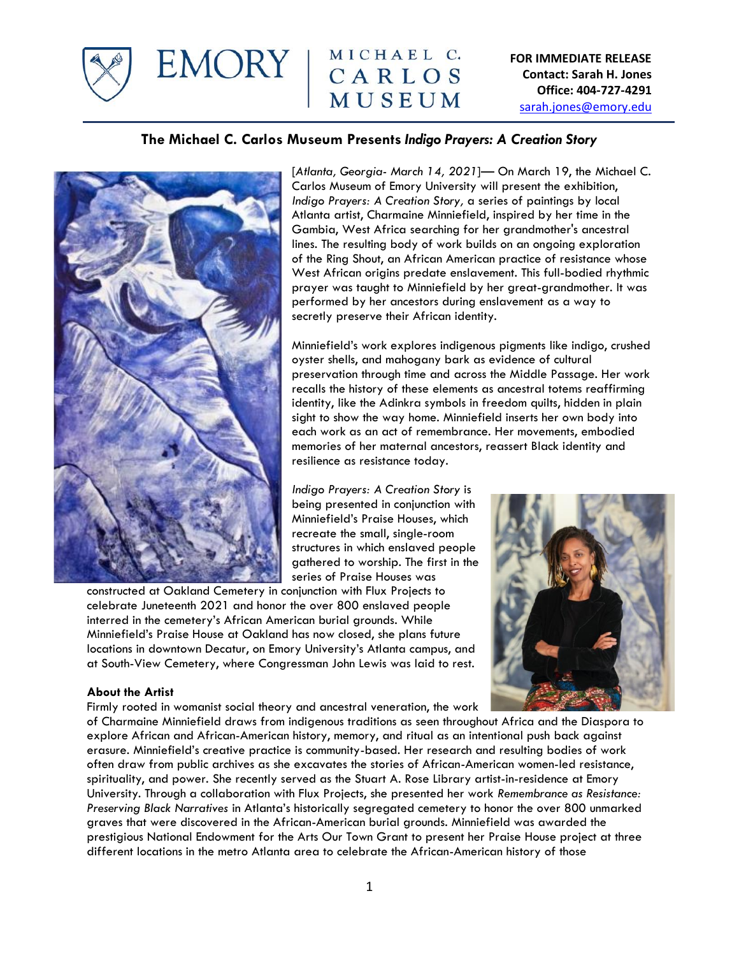

EMORY | MICHAEL C. MUSEUM

**FOR IMMEDIATE RELEASE Contact: Sarah H. Jones Office: 404-727-4291**  [sarah.jones@emory.edu](mailto:sarah.jones@emory.edu)

# **The Michael C. Carlos Museum Presents** *Indigo Prayers: A Creation Story*



[*Atlanta, Georgia- March 14, 2021*]— On March 19, the Michael C. Carlos Museum of Emory University will present the exhibition, *Indigo Prayers: A Creation Story,* a series of paintings by local Atlanta artist, Charmaine Minniefield, inspired by her time in the Gambia, West Africa searching for her grandmother's ancestral lines. The resulting body of work builds on an ongoing exploration of the Ring Shout, an African American practice of resistance whose West African origins predate enslavement. This full-bodied rhythmic prayer was taught to Minniefield by her great-grandmother. It was performed by her ancestors during enslavement as a way to secretly preserve their African identity.

Minniefield's work explores indigenous pigments like indigo, crushed oyster shells, and mahogany bark as evidence of cultural preservation through time and across the Middle Passage. Her work recalls the history of these elements as ancestral totems reaffirming identity, like the Adinkra symbols in freedom quilts, hidden in plain sight to show the way home. Minniefield inserts her own body into each work as an act of remembrance. Her movements, embodied memories of her maternal ancestors, reassert Black identity and resilience as resistance today.

*Indigo Prayers: A Creation Story* is being presented in conjunction with Minniefield's Praise Houses, which recreate the small, single-room structures in which enslaved people gathered to worship. The first in the series of Praise Houses was

constructed at Oakland Cemetery in conjunction with Flux Projects to celebrate Juneteenth 2021 and honor the over 800 enslaved people interred in the cemetery's African American burial grounds. While Minniefield's Praise House at Oakland has now closed, she plans future locations in downtown Decatur, on Emory University's Atlanta campus, and at South-View Cemetery, where Congressman John Lewis was laid to rest.



#### **About the Artist**

Firmly rooted in womanist social theory and ancestral veneration, the work

of Charmaine Minniefield draws from indigenous traditions as seen throughout Africa and the Diaspora to explore African and African-American history, memory, and ritual as an intentional push back against erasure. Minniefield's creative practice is community-based. Her research and resulting bodies of work often draw from public archives as she excavates the stories of African-American women-led resistance, spirituality, and power. She recently served as the Stuart A. Rose Library artist-in-residence at Emory University. Through a collaboration with Flux Projects, she presented her work *Remembrance as Resistance: Preserving Black Narratives* in Atlanta's historically segregated cemetery to honor the over 800 unmarked graves that were discovered in the African-American burial grounds. Minniefield was awarded the prestigious National Endowment for the Arts Our Town Grant to present her Praise House project at three different locations in the metro Atlanta area to celebrate the African-American history of those